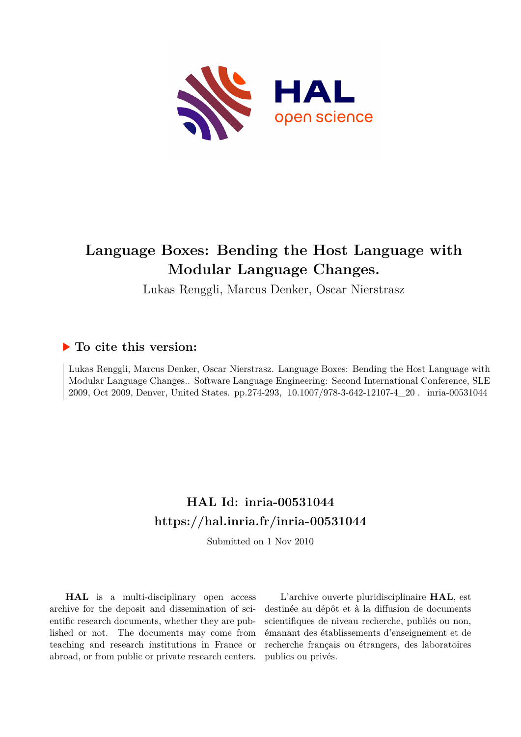

# **Language Boxes: Bending the Host Language with Modular Language Changes.**

Lukas Renggli, Marcus Denker, Oscar Nierstrasz

# **To cite this version:**

Lukas Renggli, Marcus Denker, Oscar Nierstrasz. Language Boxes: Bending the Host Language with Modular Language Changes.. Software Language Engineering: Second International Conference, SLE 2009, Oct 2009, Denver, United States. pp.274-293, 10.1007/978-3-642-12107-4\_20. inria-00531044

# **HAL Id: inria-00531044 <https://hal.inria.fr/inria-00531044>**

Submitted on 1 Nov 2010

**HAL** is a multi-disciplinary open access archive for the deposit and dissemination of scientific research documents, whether they are published or not. The documents may come from teaching and research institutions in France or abroad, or from public or private research centers.

L'archive ouverte pluridisciplinaire **HAL**, est destinée au dépôt et à la diffusion de documents scientifiques de niveau recherche, publiés ou non, émanant des établissements d'enseignement et de recherche français ou étrangers, des laboratoires publics ou privés.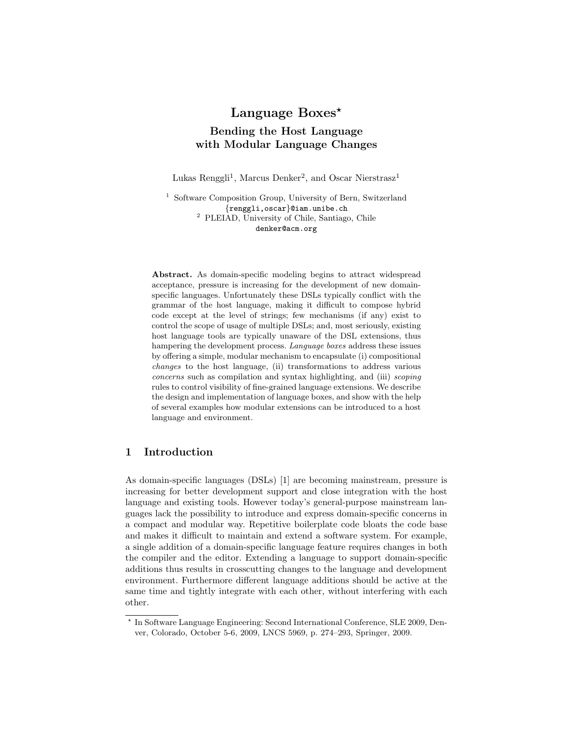# **Language Boxes***<sup>⋆</sup>* **Bending the Host Language with Modular Language Changes**

Lukas Renggli<sup>1</sup>, Marcus Denker<sup>2</sup>, and Oscar Nierstrasz<sup>1</sup>

<sup>1</sup> Software Composition Group, University of Bern, Switzerland *{*renggli,oscar*}*@iam.unibe.ch <sup>2</sup> PLEIAD, University of Chile, Santiago, Chile denker@acm.org

**Abstract.** As domain-specific modeling begins to attract widespread acceptance, pressure is increasing for the development of new domainspecific languages. Unfortunately these DSLs typically conflict with the grammar of the host language, making it difficult to compose hybrid code except at the level of strings; few mechanisms (if any) exist to control the scope of usage of multiple DSLs; and, most seriously, existing host language tools are typically unaware of the DSL extensions, thus hampering the development process. *Language boxes* address these issues by offering a simple, modular mechanism to encapsulate (i) compositional *changes* to the host language, (ii) transformations to address various *concerns* such as compilation and syntax highlighting, and (iii) *scoping* rules to control visibility of fine-grained language extensions. We describe the design and implementation of language boxes, and show with the help of several examples how modular extensions can be introduced to a host language and environment.

# **1 Introduction**

As domain-specific languages (DSLs) [1] are becoming mainstream, pressure is increasing for better development support and close integration with the host language and existing tools. However today's general-purpose mainstream languages lack the possibility to introduce and express domain-specific concerns in a compact and modular way. Repetitive boilerplate code bloats the code base and makes it difficult to maintain and extend a software system. For example, a single addition of a domain-specific language feature requires changes in both the compiler and the editor. Extending a language to support domain-specific additions thus results in crosscutting changes to the language and development environment. Furthermore different language additions should be active at the same time and tightly integrate with each other, without interfering with each other.

*<sup>⋆</sup>* In Software Language Engineering: Second International Conference, SLE 2009, Denver, Colorado, October 5-6, 2009, LNCS 5969, p. 274–293, Springer, 2009.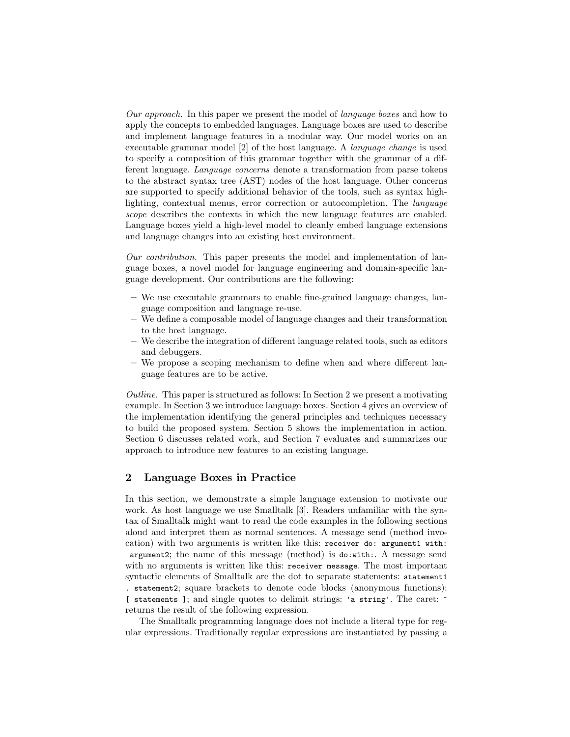*Our approach.* In this paper we present the model of *language boxes* and how to apply the concepts to embedded languages. Language boxes are used to describe and implement language features in a modular way. Our model works on an executable grammar model [2] of the host language. A *language change* is used to specify a composition of this grammar together with the grammar of a different language. *Language concerns* denote a transformation from parse tokens to the abstract syntax tree (AST) nodes of the host language. Other concerns are supported to specify additional behavior of the tools, such as syntax highlighting, contextual menus, error correction or autocompletion. The *language scope* describes the contexts in which the new language features are enabled. Language boxes yield a high-level model to cleanly embed language extensions and language changes into an existing host environment.

*Our contribution.* This paper presents the model and implementation of language boxes, a novel model for language engineering and domain-specific language development. Our contributions are the following:

- **–** We use executable grammars to enable fine-grained language changes, language composition and language re-use.
- **–** We define a composable model of language changes and their transformation to the host language.
- **–** We describe the integration of different language related tools, such as editors and debuggers.
- We propose a scoping mechanism to define when and where different language features are to be active.

*Outline.* This paper is structured as follows: In Section 2 we present a motivating example. In Section 3 we introduce language boxes. Section 4 gives an overview of the implementation identifying the general principles and techniques necessary to build the proposed system. Section 5 shows the implementation in action. Section 6 discusses related work, and Section 7 evaluates and summarizes our approach to introduce new features to an existing language.

## **2 Language Boxes in Practice**

In this section, we demonstrate a simple language extension to motivate our work. As host language we use Smalltalk [3]. Readers unfamiliar with the syntax of Smalltalk might want to read the code examples in the following sections aloud and interpret them as normal sentences. A message send (method invocation) with two arguments is written like this: receiver do: argument1 with: argument2; the name of this message (method) is do:with:. A message send with no arguments is written like this: receiver message. The most important syntactic elements of Smalltalk are the dot to separate statements: statement1 . statement2; square brackets to denote code blocks (anonymous functions): [ statements ]; and single quotes to delimit strings: 'a string'. The caret:  $\hat{ }$ returns the result of the following expression.

The Smalltalk programming language does not include a literal type for regular expressions. Traditionally regular expressions are instantiated by passing a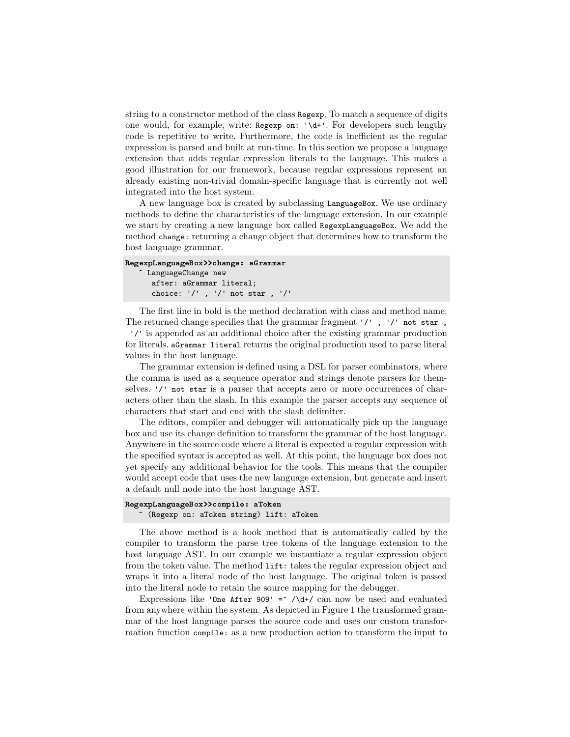string to a constructor method of the class Regexp. To match a sequence of digits one would, for example, write: Regexp on: '\d+'. For developers such lengthy code is repetitive to write. Furthermore, the code is inefficient as the regular expression is parsed and built at run-time. In this section we propose a language extension that adds regular expression literals to the language. This makes a good illustration for our framework, because regular expressions represent an already existing non-trivial domain-specific language that is currently not well integrated into the host system.

A new language box is created by subclassing LanguageBox. We use ordinary methods to define the characteristics of the language extension. In our example we start by creating a new language box called RegexpLanguageBox. We add the method change: returning a change object that determines how to transform the host language grammar.

```
RegexpLanguageBox>>change: aGrammar
   ^ LanguageChange new
      after: aGrammar literal;
      choice: '/' , '/' not star , '/'
```
The first line in bold is the method declaration with class and method name. The returned change specifies that the grammar fragment '/', '/' not star,

'/' is appended as an additional choice after the existing grammar production for literals. aGrammar literal returns the original production used to parse literal values in the host language.

The grammar extension is defined using a DSL for parser combinators, where the comma is used as a sequence operator and strings denote parsers for themselves. '/' not star is a parser that accepts zero or more occurrences of characters other than the slash. In this example the parser accepts any sequence of characters that start and end with the slash delimiter.

The editors, compiler and debugger will automatically pick up the language box and use its change definition to transform the grammar of the host language. Anywhere in the source code where a literal is expected a regular expression with the specified syntax is accepted as well. At this point, the language box does not yet specify any additional behavior for the tools. This means that the compiler would accept code that uses the new language extension, but generate and insert a default null node into the host language AST.

```
RegexpLanguageBox>>compile: aToken
    (Regexp on: aToken string) lift: aToken
```
The above method is a hook method that is automatically called by the compiler to transform the parse tree tokens of the language extension to the host language AST. In our example we instantiate a regular expression object from the token value. The method lift: takes the regular expression object and wraps it into a literal node of the host language. The original token is passed into the literal node to retain the source mapping for the debugger.

Expressions like 'One After 909' =  $\sqrt{d}$  / can now be used and evaluated from anywhere within the system. As depicted in Figure 1 the transformed grammar of the host language parses the source code and uses our custom transformation function compile: as a new production action to transform the input to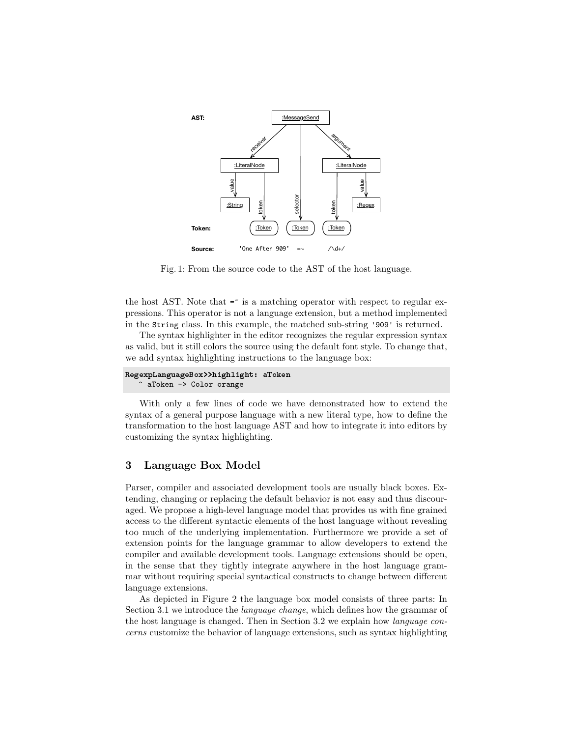

Fig. 1: From the source code to the AST of the host language.

the host AST. Note that  $=\tilde{\ }$  is a matching operator with respect to regular expressions. This operator is not a language extension, but a method implemented in the String class. In this example, the matched sub-string '909' is returned.

The syntax highlighter in the editor recognizes the regular expression syntax as valid, but it still colors the source using the default font style. To change that, we add syntax highlighting instructions to the language box:

```
RegexpLanguageBox>>highlight: aToken
    aToken -> Color orange
```
With only a few lines of code we have demonstrated how to extend the syntax of a general purpose language with a new literal type, how to define the transformation to the host language AST and how to integrate it into editors by customizing the syntax highlighting.

## **3 Language Box Model**

Parser, compiler and associated development tools are usually black boxes. Extending, changing or replacing the default behavior is not easy and thus discouraged. We propose a high-level language model that provides us with fine grained access to the different syntactic elements of the host language without revealing too much of the underlying implementation. Furthermore we provide a set of extension points for the language grammar to allow developers to extend the compiler and available development tools. Language extensions should be open, in the sense that they tightly integrate anywhere in the host language grammar without requiring special syntactical constructs to change between different language extensions.

As depicted in Figure 2 the language box model consists of three parts: In Section 3.1 we introduce the *language change*, which defines how the grammar of the host language is changed. Then in Section 3.2 we explain how *language concerns* customize the behavior of language extensions, such as syntax highlighting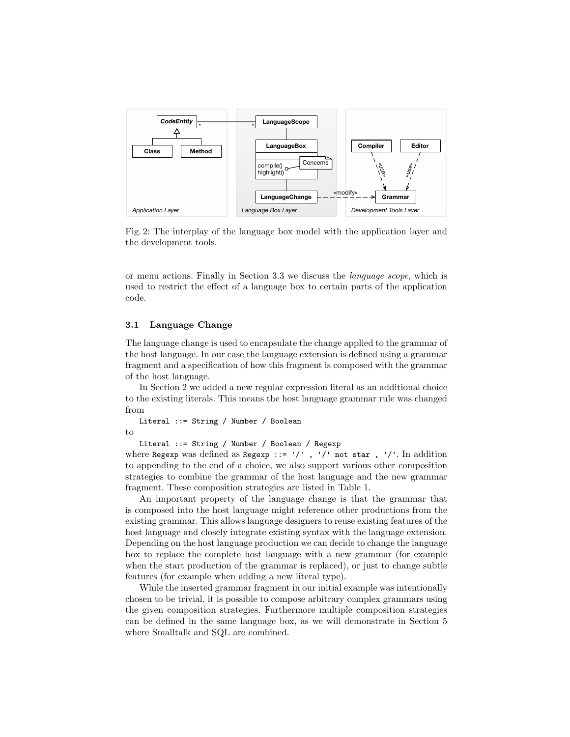

Fig. 2: The interplay of the language box model with the application layer and the development tools.

or menu actions. Finally in Section 3.3 we discuss the *language scope*, which is used to restrict the effect of a language box to certain parts of the application code.

#### **3.1 Language Change**

The language change is used to encapsulate the change applied to the grammar of the host language. In our case the language extension is defined using a grammar fragment and a specification of how this fragment is composed with the grammar of the host language.

In Section 2 we added a new regular expression literal as an additional choice to the existing literals. This means the host language grammar rule was changed from

```
Literal ::= String / Number / Boolean
to
```
Literal ::= String / Number / Boolean / Regexp

where Regexp was defined as Regexp ::= '/', '/' not star, '/'. In addition to appending to the end of a choice, we also support various other composition strategies to combine the grammar of the host language and the new grammar fragment. These composition strategies are listed in Table 1.

An important property of the language change is that the grammar that is composed into the host language might reference other productions from the existing grammar. This allows language designers to reuse existing features of the host language and closely integrate existing syntax with the language extension. Depending on the host language production we can decide to change the language box to replace the complete host language with a new grammar (for example when the start production of the grammar is replaced), or just to change subtle features (for example when adding a new literal type).

While the inserted grammar fragment in our initial example was intentionally chosen to be trivial, it is possible to compose arbitrary complex grammars using the given composition strategies. Furthermore multiple composition strategies can be defined in the same language box, as we will demonstrate in Section 5 where Smalltalk and SQL are combined.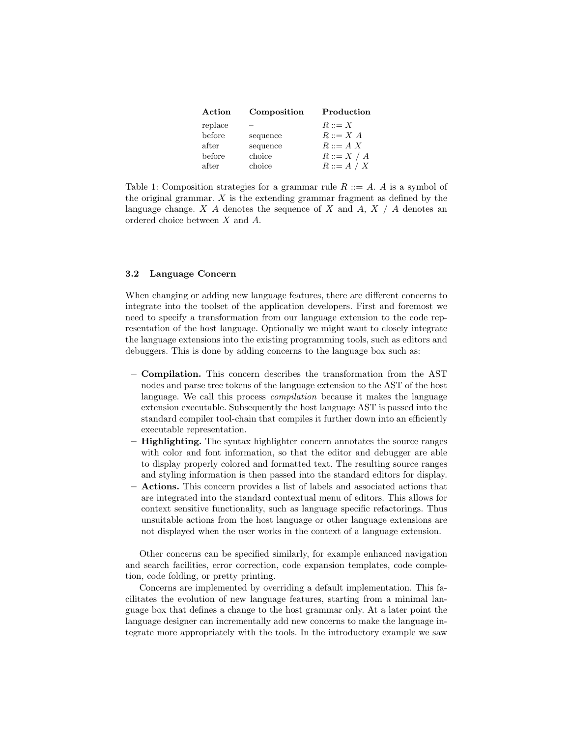| Action  | Composition | Production    |
|---------|-------------|---------------|
| replace |             | $R ::= X$     |
| before  | sequence    | $R ::= X \ A$ |
| after   | sequence    | $R ::= A X$   |
| before  | choice      | $R ::= X / A$ |
| after   | choice      | $R ::= A / X$ |

Table 1: Composition strategies for a grammar rule *R* ::= *A*. *A* is a symbol of the original grammar. *X* is the extending grammar fragment as defined by the language change. *X A* denotes the sequence of *X* and *A*, *X / A* denotes an ordered choice between *X* and *A*.

#### **3.2 Language Concern**

When changing or adding new language features, there are different concerns to integrate into the toolset of the application developers. First and foremost we need to specify a transformation from our language extension to the code representation of the host language. Optionally we might want to closely integrate the language extensions into the existing programming tools, such as editors and debuggers. This is done by adding concerns to the language box such as:

- **– Compilation.** This concern describes the transformation from the AST nodes and parse tree tokens of the language extension to the AST of the host language. We call this process *compilation* because it makes the language extension executable. Subsequently the host language AST is passed into the standard compiler tool-chain that compiles it further down into an efficiently executable representation.
- **– Highlighting.** The syntax highlighter concern annotates the source ranges with color and font information, so that the editor and debugger are able to display properly colored and formatted text. The resulting source ranges and styling information is then passed into the standard editors for display.
- **– Actions.** This concern provides a list of labels and associated actions that are integrated into the standard contextual menu of editors. This allows for context sensitive functionality, such as language specific refactorings. Thus unsuitable actions from the host language or other language extensions are not displayed when the user works in the context of a language extension.

Other concerns can be specified similarly, for example enhanced navigation and search facilities, error correction, code expansion templates, code completion, code folding, or pretty printing.

Concerns are implemented by overriding a default implementation. This facilitates the evolution of new language features, starting from a minimal language box that defines a change to the host grammar only. At a later point the language designer can incrementally add new concerns to make the language integrate more appropriately with the tools. In the introductory example we saw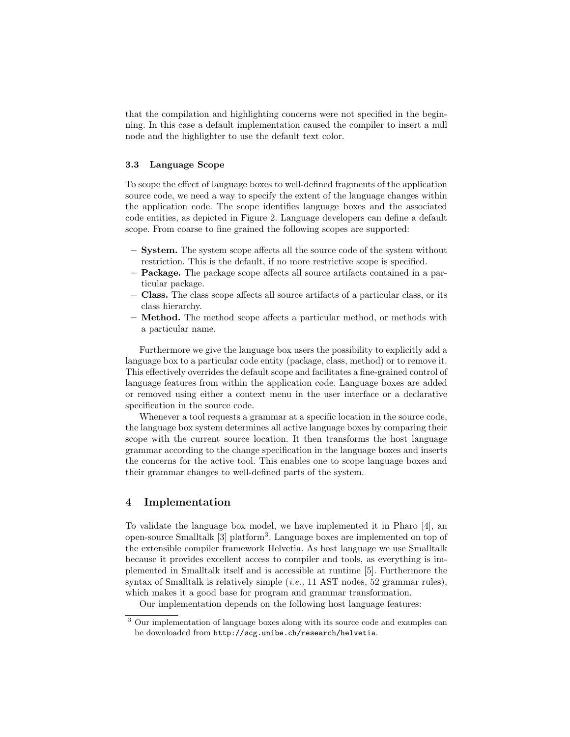that the compilation and highlighting concerns were not specified in the beginning. In this case a default implementation caused the compiler to insert a null node and the highlighter to use the default text color.

#### **3.3 Language Scope**

To scope the effect of language boxes to well-defined fragments of the application source code, we need a way to specify the extent of the language changes within the application code. The scope identifies language boxes and the associated code entities, as depicted in Figure 2. Language developers can define a default scope. From coarse to fine grained the following scopes are supported:

- **– System.** The system scope affects all the source code of the system without restriction. This is the default, if no more restrictive scope is specified.
- **– Package.** The package scope affects all source artifacts contained in a particular package.
- **– Class.** The class scope affects all source artifacts of a particular class, or its class hierarchy.
- **– Method.** The method scope affects a particular method, or methods with a particular name.

Furthermore we give the language box users the possibility to explicitly add a language box to a particular code entity (package, class, method) or to remove it. This effectively overrides the default scope and facilitates a fine-grained control of language features from within the application code. Language boxes are added or removed using either a context menu in the user interface or a declarative specification in the source code.

Whenever a tool requests a grammar at a specific location in the source code, the language box system determines all active language boxes by comparing their scope with the current source location. It then transforms the host language grammar according to the change specification in the language boxes and inserts the concerns for the active tool. This enables one to scope language boxes and their grammar changes to well-defined parts of the system.

### **4 Implementation**

To validate the language box model, we have implemented it in Pharo [4], an open-source Smalltalk [3] platform3 . Language boxes are implemented on top of the extensible compiler framework Helvetia. As host language we use Smalltalk because it provides excellent access to compiler and tools, as everything is implemented in Smalltalk itself and is accessible at runtime [5]. Furthermore the syntax of Smalltalk is relatively simple (*i.e.,* 11 AST nodes, 52 grammar rules), which makes it a good base for program and grammar transformation.

Our implementation depends on the following host language features:

<sup>&</sup>lt;sup>3</sup> Our implementation of language boxes along with its source code and examples can be downloaded from <http://scg.unibe.ch/research/helvetia>.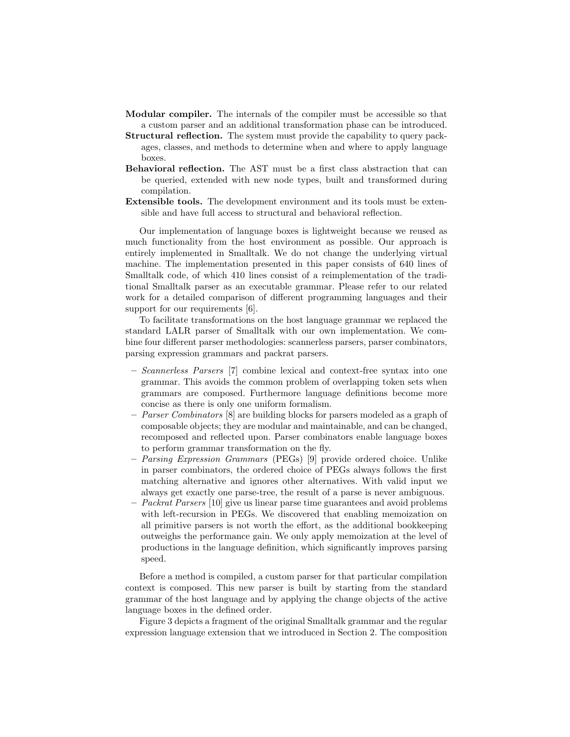- **Modular compiler.** The internals of the compiler must be accessible so that a custom parser and an additional transformation phase can be introduced.
- **Structural reflection.** The system must provide the capability to query packages, classes, and methods to determine when and where to apply language boxes.
- **Behavioral reflection.** The AST must be a first class abstraction that can be queried, extended with new node types, built and transformed during compilation.
- **Extensible tools.** The development environment and its tools must be extensible and have full access to structural and behavioral reflection.

Our implementation of language boxes is lightweight because we reused as much functionality from the host environment as possible. Our approach is entirely implemented in Smalltalk. We do not change the underlying virtual machine. The implementation presented in this paper consists of 640 lines of Smalltalk code, of which 410 lines consist of a reimplementation of the traditional Smalltalk parser as an executable grammar. Please refer to our related work for a detailed comparison of different programming languages and their support for our requirements [6].

To facilitate transformations on the host language grammar we replaced the standard LALR parser of Smalltalk with our own implementation. We combine four different parser methodologies: scannerless parsers, parser combinators, parsing expression grammars and packrat parsers.

- **–** *Scannerless Parsers* [7] combine lexical and context-free syntax into one grammar. This avoids the common problem of overlapping token sets when grammars are composed. Furthermore language definitions become more concise as there is only one uniform formalism.
- **–** *Parser Combinators* [8] are building blocks for parsers modeled as a graph of composable objects; they are modular and maintainable, and can be changed, recomposed and reflected upon. Parser combinators enable language boxes to perform grammar transformation on the fly.
- **–** *Parsing Expression Grammars* (PEGs) [9] provide ordered choice. Unlike in parser combinators, the ordered choice of PEGs always follows the first matching alternative and ignores other alternatives. With valid input we always get exactly one parse-tree, the result of a parse is never ambiguous.
- **–** *Packrat Parsers* [10] give us linear parse time guarantees and avoid problems with left-recursion in PEGs. We discovered that enabling memoization on all primitive parsers is not worth the effort, as the additional bookkeeping outweighs the performance gain. We only apply memoization at the level of productions in the language definition, which significantly improves parsing speed.

Before a method is compiled, a custom parser for that particular compilation context is composed. This new parser is built by starting from the standard grammar of the host language and by applying the change objects of the active language boxes in the defined order.

Figure 3 depicts a fragment of the original Smalltalk grammar and the regular expression language extension that we introduced in Section 2. The composition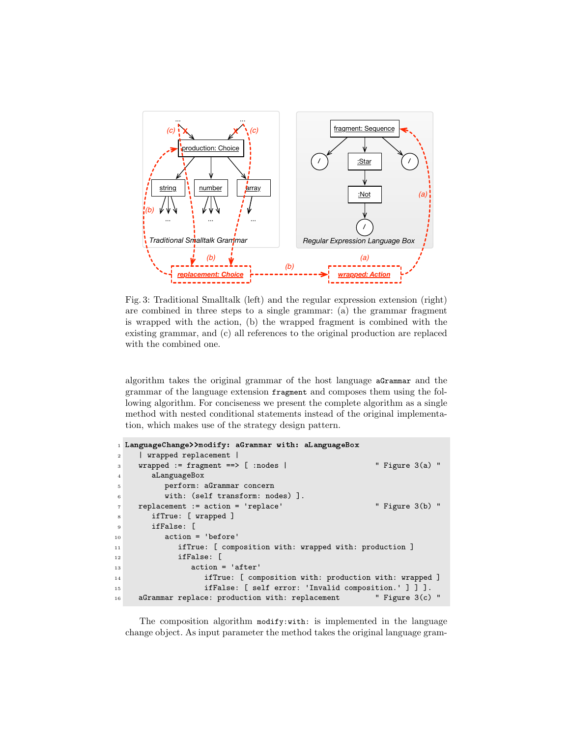

Fig. 3: Traditional Smalltalk (left) and the regular expression extension (right) are combined in three steps to a single grammar: (a) the grammar fragment is wrapped with the action, (b) the wrapped fragment is combined with the existing grammar, and (c) all references to the original production are replaced with the combined one.

algorithm takes the original grammar of the host language aGrammar and the grammar of the language extension fragment and composes them using the following algorithm. For conciseness we present the complete algorithm as a single method with nested conditional statements instead of the original implementation, which makes use of the strategy design pattern.

```
1 LanguageChange>>modify: aGrammar with: aLanguageBox
2 | wrapped replacement |
3 wrapped := fragment ==> [ :nodes | " Figure 3(a) "
      4 aLanguageBox
5 perform: aGrammar concern
6 with: (self transform: nodes) ].
7 replacement := action = 'replace' " Figure 3(b) "
8 ifTrue: [ wrapped ]
9 ifFalse: [
10 action = 'before'
11 ifTrue: [ composition with: wrapped with: production ]
12 ifFalse: [
13 action = 'after'
14 ifTrue: [ composition with: production with: wrapped ]
15 ifFalse: [ self error: 'Invalid composition.' ] ] ].
16 aGrammar replace: production with: replacement " Figure 3(c)
```
The composition algorithm modify:with: is implemented in the language change object. As input parameter the method takes the original language gram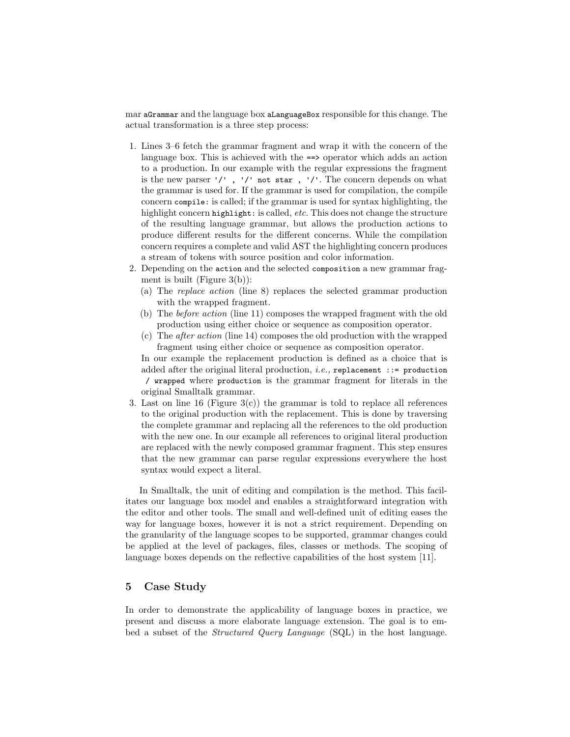mar aGrammar and the language box aLanguageBox responsible for this change. The actual transformation is a three step process:

- 1. Lines 3–6 fetch the grammar fragment and wrap it with the concern of the language box. This is achieved with the ==> operator which adds an action to a production. In our example with the regular expressions the fragment is the new parser  $'/'$ ,  $'/'$  not star,  $'/'$ . The concern depends on what the grammar is used for. If the grammar is used for compilation, the compile concern compile: is called; if the grammar is used for syntax highlighting, the highlight concern highlight: is called, *etc.* This does not change the structure of the resulting language grammar, but allows the production actions to produce different results for the different concerns. While the compilation concern requires a complete and valid AST the highlighting concern produces a stream of tokens with source position and color information.
- 2. Depending on the action and the selected composition a new grammar fragment is built (Figure  $3(b)$ ):
	- (a) The *replace action* (line 8) replaces the selected grammar production with the wrapped fragment.
	- (b) The *before action* (line 11) composes the wrapped fragment with the old production using either choice or sequence as composition operator.
	- (c) The *after action* (line 14) composes the old production with the wrapped fragment using either choice or sequence as composition operator.

In our example the replacement production is defined as a choice that is added after the original literal production, *i.e.,* replacement ::= production / wrapped where production is the grammar fragment for literals in the original Smalltalk grammar.

3. Last on line 16 (Figure  $3(c)$ ) the grammar is told to replace all references to the original production with the replacement. This is done by traversing the complete grammar and replacing all the references to the old production with the new one. In our example all references to original literal production are replaced with the newly composed grammar fragment. This step ensures that the new grammar can parse regular expressions everywhere the host syntax would expect a literal.

In Smalltalk, the unit of editing and compilation is the method. This facilitates our language box model and enables a straightforward integration with the editor and other tools. The small and well-defined unit of editing eases the way for language boxes, however it is not a strict requirement. Depending on the granularity of the language scopes to be supported, grammar changes could be applied at the level of packages, files, classes or methods. The scoping of language boxes depends on the reflective capabilities of the host system [11].

#### **5 Case Study**

In order to demonstrate the applicability of language boxes in practice, we present and discuss a more elaborate language extension. The goal is to embed a subset of the *Structured Query Language* (SQL) in the host language.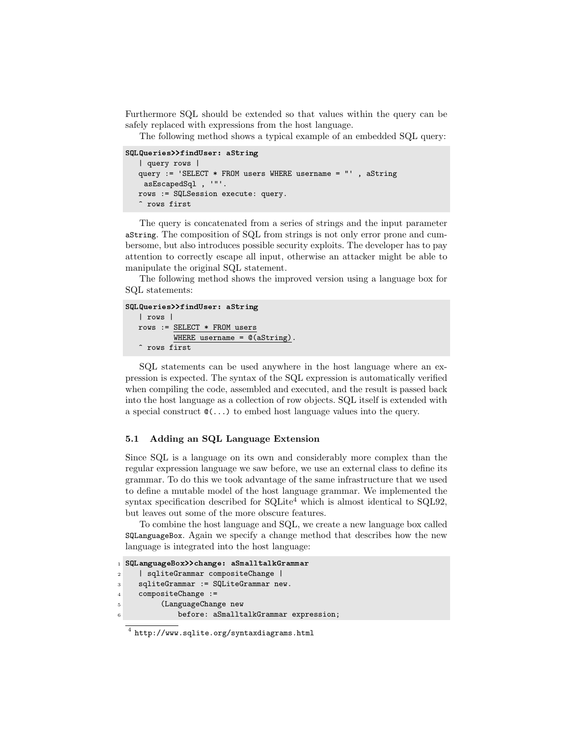Furthermore SQL should be extended so that values within the query can be safely replaced with expressions from the host language.

The following method shows a typical example of an embedded SQL query:

```
SQLQueries>>findUser: aString
   | query rows |
   query := 'SELECT * FROM users WHERE username = "' , aString
    asEscapedSql , '"'.
  rows := SQLSession execute: query.
   ^ rows first
```
The query is concatenated from a series of strings and the input parameter aString. The composition of SQL from strings is not only error prone and cumbersome, but also introduces possible security exploits. The developer has to pay attention to correctly escape all input, otherwise an attacker might be able to manipulate the original SQL statement.

The following method shows the improved version using a language box for SQL statements:

```
SQLQueries>>findUser: aString
   | rows |
  rows := SELECT * FROM users
           WHERE username = @(aString).
   ^ rows first
```
SQL statements can be used anywhere in the host language where an expression is expected. The syntax of the SQL expression is automatically verified when compiling the code, assembled and executed, and the result is passed back into the host language as a collection of row objects. SQL itself is extended with a special construct  $\mathcal{C}(\ldots)$  to embed host language values into the query.

#### **5.1 Adding an SQL Language Extension**

Since SQL is a language on its own and considerably more complex than the regular expression language we saw before, we use an external class to define its grammar. To do this we took advantage of the same infrastructure that we used to define a mutable model of the host language grammar. We implemented the syntax specification described for  $\text{SQL}$  which is almost identical to  $\text{SQL92}$ , but leaves out some of the more obscure features.

To combine the host language and SQL, we create a new language box called SQLanguageBox. Again we specify a change method that describes how the new language is integrated into the host language:

```
1 SQLanguageBox>>change: aSmalltalkGrammar
2 | sqliteGrammar compositeChange |
3 sqliteGrammar := SQLiteGrammar new.
4 compositeChange :=
5 (LanguageChange new
6 before: aSmalltalkGrammar expression;
```
 $^4$  <http://www.sqlite.org/syntaxdiagrams.html>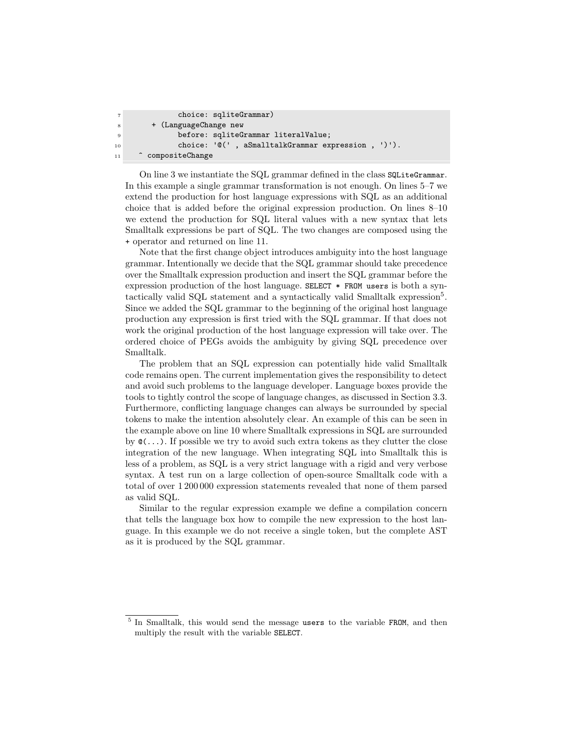```
choice: sqliteGrammar)
8 + (LanguageChange new
9 before: sqliteGrammar literalValue;
10 choice: '\mathbb{Q}(', aSmalltalkGrammar expression, ')').
11 <sup>c</sup> compositeChange
```
On line 3 we instantiate the SQL grammar defined in the class SQLiteGrammar. In this example a single grammar transformation is not enough. On lines 5–7 we extend the production for host language expressions with SQL as an additional choice that is added before the original expression production. On lines 8–10 we extend the production for SQL literal values with a new syntax that lets Smalltalk expressions be part of SQL. The two changes are composed using the + operator and returned on line 11.

Note that the first change object introduces ambiguity into the host language grammar. Intentionally we decide that the SQL grammar should take precedence over the Smalltalk expression production and insert the SQL grammar before the expression production of the host language. SELECT \* FROM users is both a syntactically valid SQL statement and a syntactically valid Smalltalk expression<sup>5</sup>. Since we added the SQL grammar to the beginning of the original host language production any expression is first tried with the SQL grammar. If that does not work the original production of the host language expression will take over. The ordered choice of PEGs avoids the ambiguity by giving SQL precedence over Smalltalk.

The problem that an SQL expression can potentially hide valid Smalltalk code remains open. The current implementation gives the responsibility to detect and avoid such problems to the language developer. Language boxes provide the tools to tightly control the scope of language changes, as discussed in Section 3.3. Furthermore, conflicting language changes can always be surrounded by special tokens to make the intention absolutely clear. An example of this can be seen in the example above on line 10 where Smalltalk expressions in SQL are surrounded by  $\mathcal{C}(\ldots)$ . If possible we try to avoid such extra tokens as they clutter the close integration of the new language. When integrating SQL into Smalltalk this is less of a problem, as SQL is a very strict language with a rigid and very verbose syntax. A test run on a large collection of open-source Smalltalk code with a total of over 1 200 000 expression statements revealed that none of them parsed as valid SQL.

Similar to the regular expression example we define a compilation concern that tells the language box how to compile the new expression to the host language. In this example we do not receive a single token, but the complete AST as it is produced by the SQL grammar.

<sup>&</sup>lt;sup>5</sup> In Smalltalk, this would send the message users to the variable FROM, and then multiply the result with the variable SELECT.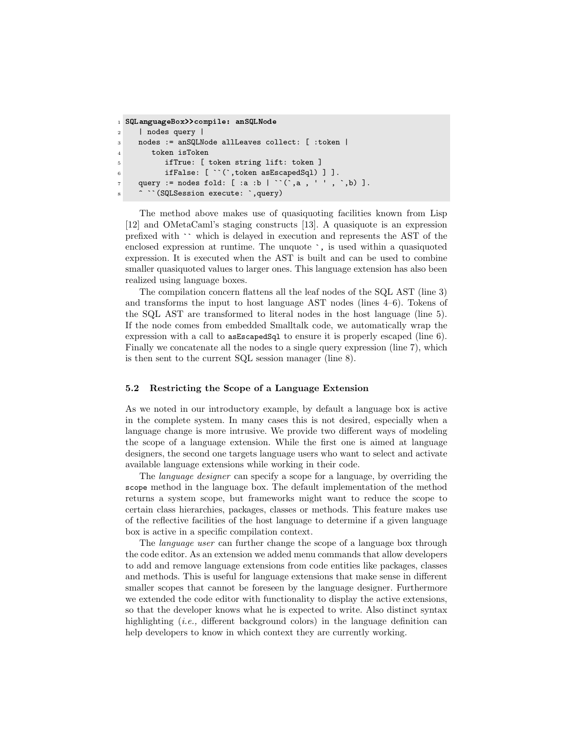```
1 SQLanguageBox>>compile: anSQLNode
2 | nodes query |
3 nodes := anSQLNode allLeaves collect: [ :token |
4 token isToken
5 ifTrue: [ token string lift: token ]
6 ifFalse: [ \cdot \cdot \cdot \cdot, token asEscapedSql) ] ].
query := nodes fold: [ :a :b | ``(`,a , ' ' , `,b) ].
       `(SQLSession execute: `,query)
```
The method above makes use of quasiquoting facilities known from Lisp [12] and OMetaCaml's staging constructs [13]. A quasiquote is an expression prefixed with `` which is delayed in execution and represents the AST of the enclosed expression at runtime. The unquote  $\cdot$ , is used within a quasiquoted expression. It is executed when the AST is built and can be used to combine smaller quasiquoted values to larger ones. This language extension has also been realized using language boxes.

The compilation concern flattens all the leaf nodes of the SQL AST (line 3) and transforms the input to host language AST nodes (lines 4–6). Tokens of the SQL AST are transformed to literal nodes in the host language (line 5). If the node comes from embedded Smalltalk code, we automatically wrap the expression with a call to  $\alpha$  as Escaped Sql to ensure it is properly escaped (line 6). Finally we concatenate all the nodes to a single query expression (line 7), which is then sent to the current SQL session manager (line 8).

#### **5.2 Restricting the Scope of a Language Extension**

As we noted in our introductory example, by default a language box is active in the complete system. In many cases this is not desired, especially when a language change is more intrusive. We provide two different ways of modeling the scope of a language extension. While the first one is aimed at language designers, the second one targets language users who want to select and activate available language extensions while working in their code.

The *language designer* can specify a scope for a language, by overriding the scope method in the language box. The default implementation of the method returns a system scope, but frameworks might want to reduce the scope to certain class hierarchies, packages, classes or methods. This feature makes use of the reflective facilities of the host language to determine if a given language box is active in a specific compilation context.

The *language user* can further change the scope of a language box through the code editor. As an extension we added menu commands that allow developers to add and remove language extensions from code entities like packages, classes and methods. This is useful for language extensions that make sense in different smaller scopes that cannot be foreseen by the language designer. Furthermore we extended the code editor with functionality to display the active extensions, so that the developer knows what he is expected to write. Also distinct syntax highlighting (*i.e.*, different background colors) in the language definition can help developers to know in which context they are currently working.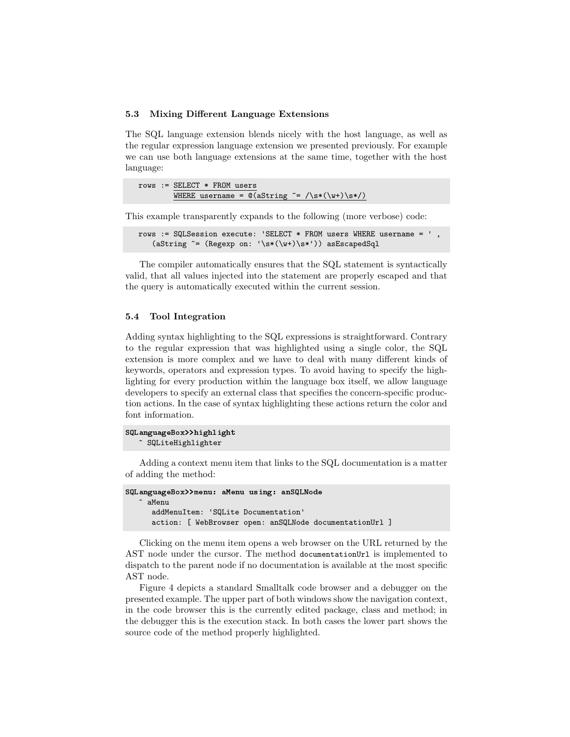#### **5.3 Mixing Different Language Extensions**

The SQL language extension blends nicely with the host language, as well as the regular expression language extension we presented previously. For example we can use both language extensions at the same time, together with the host language:

```
rows := SELECT * FROM users
       WHERE username = @(aString = /\s*(\w+))s*/)
```
This example transparently expands to the following (more verbose) code:

```
rows := SQLSession execute: 'SELECT * FROM users WHERE username = ' ,
   (aString \tilde{=} (Regexp on: ' \s*(\w+)) s*) ) asEscapedSql
```
The compiler automatically ensures that the SQL statement is syntactically valid, that all values injected into the statement are properly escaped and that the query is automatically executed within the current session.

#### **5.4 Tool Integration**

Adding syntax highlighting to the SQL expressions is straightforward. Contrary to the regular expression that was highlighted using a single color, the SQL extension is more complex and we have to deal with many different kinds of keywords, operators and expression types. To avoid having to specify the highlighting for every production within the language box itself, we allow language developers to specify an external class that specifies the concern-specific production actions. In the case of syntax highlighting these actions return the color and font information.

```
SQLanguageBox>>highlight
   ^ SQLiteHighlighter
```
Adding a context menu item that links to the SQL documentation is a matter of adding the method:

```
SQLanguageBox>>menu: aMenu using: anSQLNode
   ^ aMenu
      addMenuItem: 'SQLite Documentation'
      action: [ WebBrowser open: anSQLNode documentationUrl ]
```
Clicking on the menu item opens a web browser on the URL returned by the AST node under the cursor. The method documentationUrl is implemented to dispatch to the parent node if no documentation is available at the most specific AST node.

Figure 4 depicts a standard Smalltalk code browser and a debugger on the presented example. The upper part of both windows show the navigation context, in the code browser this is the currently edited package, class and method; in the debugger this is the execution stack. In both cases the lower part shows the source code of the method properly highlighted.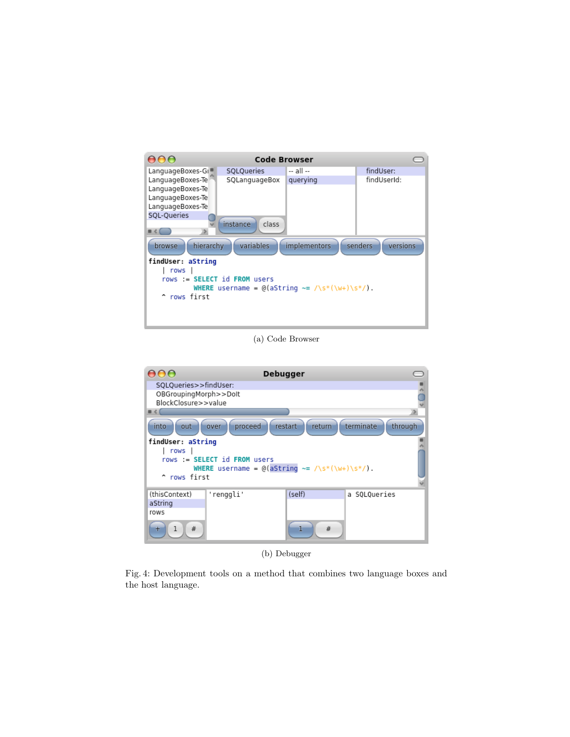

(a) Code Browser



(b) Debugger

Fig. 4: Development tools on a method that combines two language boxes and the host language.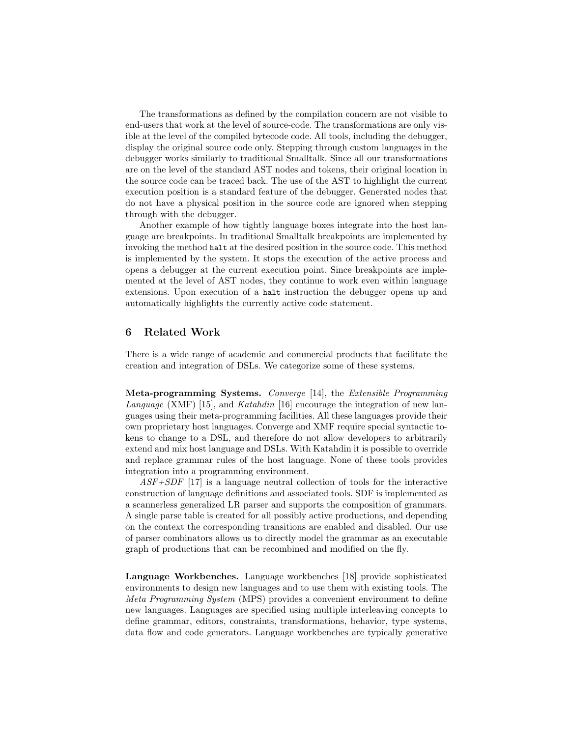The transformations as defined by the compilation concern are not visible to end-users that work at the level of source-code. The transformations are only visible at the level of the compiled bytecode code. All tools, including the debugger, display the original source code only. Stepping through custom languages in the debugger works similarly to traditional Smalltalk. Since all our transformations are on the level of the standard AST nodes and tokens, their original location in the source code can be traced back. The use of the AST to highlight the current execution position is a standard feature of the debugger. Generated nodes that do not have a physical position in the source code are ignored when stepping through with the debugger.

Another example of how tightly language boxes integrate into the host language are breakpoints. In traditional Smalltalk breakpoints are implemented by invoking the method halt at the desired position in the source code. This method is implemented by the system. It stops the execution of the active process and opens a debugger at the current execution point. Since breakpoints are implemented at the level of AST nodes, they continue to work even within language extensions. Upon execution of a halt instruction the debugger opens up and automatically highlights the currently active code statement.

# **6 Related Work**

There is a wide range of academic and commercial products that facilitate the creation and integration of DSLs. We categorize some of these systems.

**Meta-programming Systems.** *Converge* [14], the *Extensible Programming Language* (XMF) [15], and *Katahdin* [16] encourage the integration of new languages using their meta-programming facilities. All these languages provide their own proprietary host languages. Converge and XMF require special syntactic tokens to change to a DSL, and therefore do not allow developers to arbitrarily extend and mix host language and DSLs. With Katahdin it is possible to override and replace grammar rules of the host language. None of these tools provides integration into a programming environment.

*ASF+SDF* [17] is a language neutral collection of tools for the interactive construction of language definitions and associated tools. SDF is implemented as a scannerless generalized LR parser and supports the composition of grammars. A single parse table is created for all possibly active productions, and depending on the context the corresponding transitions are enabled and disabled. Our use of parser combinators allows us to directly model the grammar as an executable graph of productions that can be recombined and modified on the fly.

**Language Workbenches.** Language workbenches [18] provide sophisticated environments to design new languages and to use them with existing tools. The *Meta Programming System* (MPS) provides a convenient environment to define new languages. Languages are specified using multiple interleaving concepts to define grammar, editors, constraints, transformations, behavior, type systems, data flow and code generators. Language workbenches are typically generative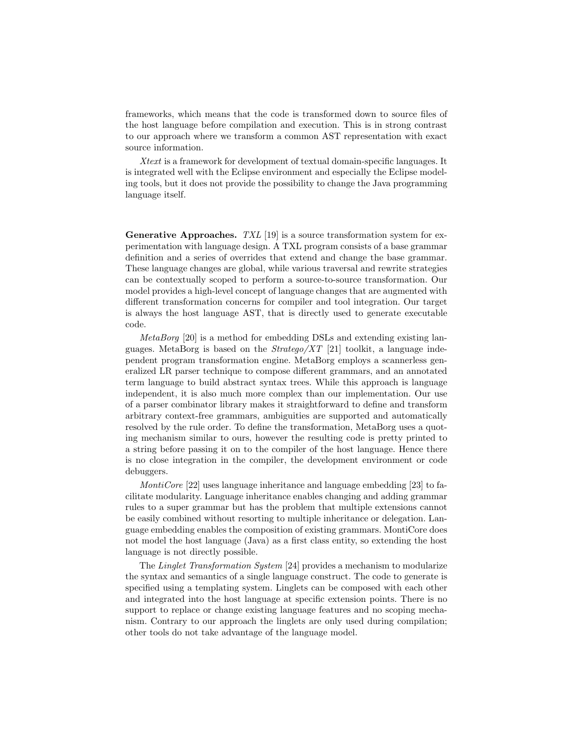frameworks, which means that the code is transformed down to source files of the host language before compilation and execution. This is in strong contrast to our approach where we transform a common AST representation with exact source information.

*Xtext* is a framework for development of textual domain-specific languages. It is integrated well with the Eclipse environment and especially the Eclipse modeling tools, but it does not provide the possibility to change the Java programming language itself.

**Generative Approaches.** *TXL* [19] is a source transformation system for experimentation with language design. A TXL program consists of a base grammar definition and a series of overrides that extend and change the base grammar. These language changes are global, while various traversal and rewrite strategies can be contextually scoped to perform a source-to-source transformation. Our model provides a high-level concept of language changes that are augmented with different transformation concerns for compiler and tool integration. Our target is always the host language AST, that is directly used to generate executable code.

*MetaBorg* [20] is a method for embedding DSLs and extending existing languages. MetaBorg is based on the *Stratego/XT* [21] toolkit, a language independent program transformation engine. MetaBorg employs a scannerless generalized LR parser technique to compose different grammars, and an annotated term language to build abstract syntax trees. While this approach is language independent, it is also much more complex than our implementation. Our use of a parser combinator library makes it straightforward to define and transform arbitrary context-free grammars, ambiguities are supported and automatically resolved by the rule order. To define the transformation, MetaBorg uses a quoting mechanism similar to ours, however the resulting code is pretty printed to a string before passing it on to the compiler of the host language. Hence there is no close integration in the compiler, the development environment or code debuggers.

*MontiCore* [22] uses language inheritance and language embedding [23] to facilitate modularity. Language inheritance enables changing and adding grammar rules to a super grammar but has the problem that multiple extensions cannot be easily combined without resorting to multiple inheritance or delegation. Language embedding enables the composition of existing grammars. MontiCore does not model the host language (Java) as a first class entity, so extending the host language is not directly possible.

The *Linglet Transformation System* [24] provides a mechanism to modularize the syntax and semantics of a single language construct. The code to generate is specified using a templating system. Linglets can be composed with each other and integrated into the host language at specific extension points. There is no support to replace or change existing language features and no scoping mechanism. Contrary to our approach the linglets are only used during compilation; other tools do not take advantage of the language model.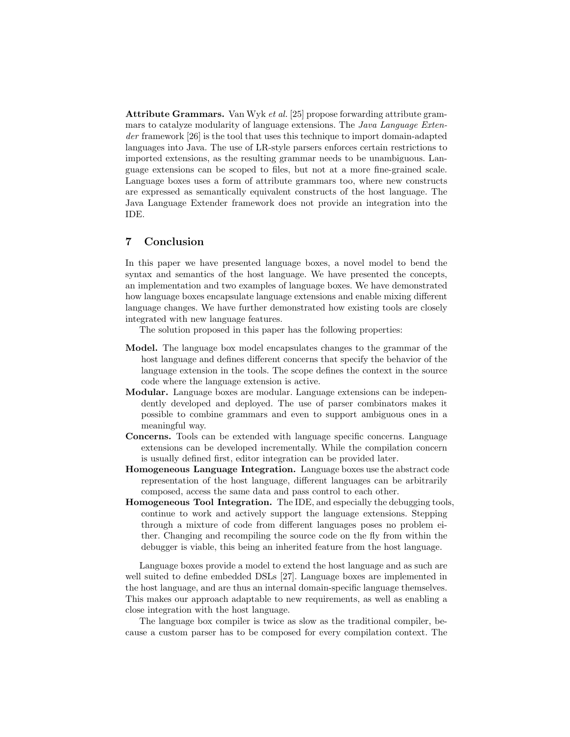**Attribute Grammars.** Van Wyk *et al.* [25] propose forwarding attribute grammars to catalyze modularity of language extensions. The *Java Language Extender* framework [26] is the tool that uses this technique to import domain-adapted languages into Java. The use of LR-style parsers enforces certain restrictions to imported extensions, as the resulting grammar needs to be unambiguous. Language extensions can be scoped to files, but not at a more fine-grained scale. Language boxes uses a form of attribute grammars too, where new constructs are expressed as semantically equivalent constructs of the host language. The Java Language Extender framework does not provide an integration into the IDE.

# **7 Conclusion**

In this paper we have presented language boxes, a novel model to bend the syntax and semantics of the host language. We have presented the concepts, an implementation and two examples of language boxes. We have demonstrated how language boxes encapsulate language extensions and enable mixing different language changes. We have further demonstrated how existing tools are closely integrated with new language features.

The solution proposed in this paper has the following properties:

- **Model.** The language box model encapsulates changes to the grammar of the host language and defines different concerns that specify the behavior of the language extension in the tools. The scope defines the context in the source code where the language extension is active.
- **Modular.** Language boxes are modular. Language extensions can be independently developed and deployed. The use of parser combinators makes it possible to combine grammars and even to support ambiguous ones in a meaningful way.
- **Concerns.** Tools can be extended with language specific concerns. Language extensions can be developed incrementally. While the compilation concern is usually defined first, editor integration can be provided later.
- **Homogeneous Language Integration.** Language boxes use the abstract code representation of the host language, different languages can be arbitrarily composed, access the same data and pass control to each other.
- **Homogeneous Tool Integration.** The IDE, and especially the debugging tools, continue to work and actively support the language extensions. Stepping through a mixture of code from different languages poses no problem either. Changing and recompiling the source code on the fly from within the debugger is viable, this being an inherited feature from the host language.

Language boxes provide a model to extend the host language and as such are well suited to define embedded DSLs [27]. Language boxes are implemented in the host language, and are thus an internal domain-specific language themselves. This makes our approach adaptable to new requirements, as well as enabling a close integration with the host language.

The language box compiler is twice as slow as the traditional compiler, because a custom parser has to be composed for every compilation context. The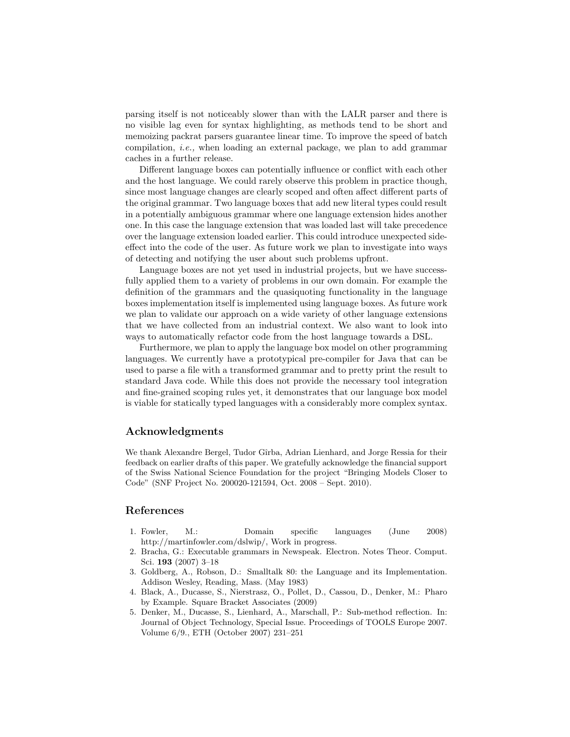parsing itself is not noticeably slower than with the LALR parser and there is no visible lag even for syntax highlighting, as methods tend to be short and memoizing packrat parsers guarantee linear time. To improve the speed of batch compilation, *i.e.,* when loading an external package, we plan to add grammar caches in a further release.

Different language boxes can potentially influence or conflict with each other and the host language. We could rarely observe this problem in practice though, since most language changes are clearly scoped and often affect different parts of the original grammar. Two language boxes that add new literal types could result in a potentially ambiguous grammar where one language extension hides another one. In this case the language extension that was loaded last will take precedence over the language extension loaded earlier. This could introduce unexpected sideeffect into the code of the user. As future work we plan to investigate into ways of detecting and notifying the user about such problems upfront.

Language boxes are not yet used in industrial projects, but we have successfully applied them to a variety of problems in our own domain. For example the definition of the grammars and the quasiquoting functionality in the language boxes implementation itself is implemented using language boxes. As future work we plan to validate our approach on a wide variety of other language extensions that we have collected from an industrial context. We also want to look into ways to automatically refactor code from the host language towards a DSL.

Furthermore, we plan to apply the language box model on other programming languages. We currently have a prototypical pre-compiler for Java that can be used to parse a file with a transformed grammar and to pretty print the result to standard Java code. While this does not provide the necessary tool integration and fine-grained scoping rules yet, it demonstrates that our language box model is viable for statically typed languages with a considerably more complex syntax.

# **Acknowledgments**

We thank Alexandre Bergel, Tudor Gîrba, Adrian Lienhard, and Jorge Ressia for their feedback on earlier drafts of this paper. We gratefully acknowledge the financial support of the Swiss National Science Foundation for the project "Bringing Models Closer to Code" (SNF Project No. 200020-121594, Oct. 2008 – Sept. 2010).

### **References**

- 1. Fowler, M.: Domain specific languages (June 2008) http://martinfowler.com/dslwip/, Work in progress.
- 2. Bracha, G.: Executable grammars in Newspeak. Electron. Notes Theor. Comput. Sci. **193** (2007) 3–18
- 3. Goldberg, A., Robson, D.: Smalltalk 80: the Language and its Implementation. Addison Wesley, Reading, Mass. (May 1983)
- 4. Black, A., Ducasse, S., Nierstrasz, O., Pollet, D., Cassou, D., Denker, M.: Pharo by Example. Square Bracket Associates (2009)
- 5. Denker, M., Ducasse, S., Lienhard, A., Marschall, P.: Sub-method reflection. In: Journal of Object Technology, Special Issue. Proceedings of TOOLS Europe 2007. Volume 6/9., ETH (October 2007) 231–251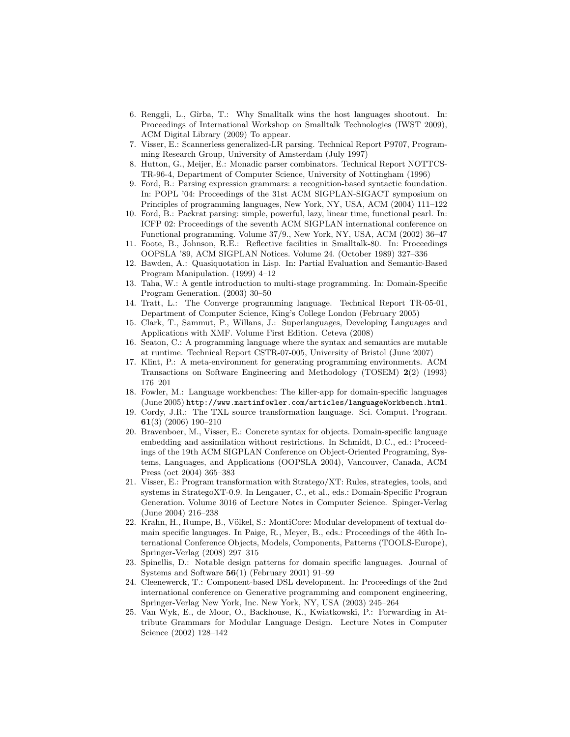- 6. Renggli, L., Gˆırba, T.: Why Smalltalk wins the host languages shootout. In: Proceedings of International Workshop on Smalltalk Technologies (IWST 2009), ACM Digital Library (2009) To appear.
- 7. Visser, E.: Scannerless generalized-LR parsing. Technical Report P9707, Programming Research Group, University of Amsterdam (July 1997)
- 8. Hutton, G., Meijer, E.: Monadic parser combinators. Technical Report NOTTCS-TR-96-4, Department of Computer Science, University of Nottingham (1996)
- 9. Ford, B.: Parsing expression grammars: a recognition-based syntactic foundation. In: POPL '04: Proceedings of the 31st ACM SIGPLAN-SIGACT symposium on Principles of programming languages, New York, NY, USA, ACM (2004) 111–122
- 10. Ford, B.: Packrat parsing: simple, powerful, lazy, linear time, functional pearl. In: ICFP 02: Proceedings of the seventh ACM SIGPLAN international conference on Functional programming. Volume 37/9., New York, NY, USA, ACM (2002) 36–47
- 11. Foote, B., Johnson, R.E.: Reflective facilities in Smalltalk-80. In: Proceedings OOPSLA '89, ACM SIGPLAN Notices. Volume 24. (October 1989) 327–336
- 12. Bawden, A.: Quasiquotation in Lisp. In: Partial Evaluation and Semantic-Based Program Manipulation. (1999) 4–12
- 13. Taha, W.: A gentle introduction to multi-stage programming. In: Domain-Specific Program Generation. (2003) 30–50
- 14. Tratt, L.: The Converge programming language. Technical Report TR-05-01, Department of Computer Science, King's College London (February 2005)
- 15. Clark, T., Sammut, P., Willans, J.: Superlanguages, Developing Languages and Applications with XMF. Volume First Edition. Ceteva (2008)
- 16. Seaton, C.: A programming language where the syntax and semantics are mutable at runtime. Technical Report CSTR-07-005, University of Bristol (June 2007)
- 17. Klint, P.: A meta-environment for generating programming environments. ACM Transactions on Software Engineering and Methodology (TOSEM) **2**(2) (1993) 176–201
- 18. Fowler, M.: Language workbenches: The killer-app for domain-specific languages (June 2005) <http://www.martinfowler.com/articles/languageWorkbench.html>.
- 19. Cordy, J.R.: The TXL source transformation language. Sci. Comput. Program. **61**(3) (2006) 190–210
- 20. Bravenboer, M., Visser, E.: Concrete syntax for objects. Domain-specific language embedding and assimilation without restrictions. In Schmidt, D.C., ed.: Proceedings of the 19th ACM SIGPLAN Conference on Object-Oriented Programing, Systems, Languages, and Applications (OOPSLA 2004), Vancouver, Canada, ACM Press (oct 2004) 365–383
- 21. Visser, E.: Program transformation with Stratego/XT: Rules, strategies, tools, and systems in StrategoXT-0.9. In Lengauer, C., et al., eds.: Domain-Specific Program Generation. Volume 3016 of Lecture Notes in Computer Science. Spinger-Verlag (June 2004) 216–238
- 22. Krahn, H., Rumpe, B., Völkel, S.: MontiCore: Modular development of textual domain specific languages. In Paige, R., Meyer, B., eds.: Proceedings of the 46th International Conference Objects, Models, Components, Patterns (TOOLS-Europe), Springer-Verlag (2008) 297–315
- 23. Spinellis, D.: Notable design patterns for domain specific languages. Journal of Systems and Software **56**(1) (February 2001) 91–99
- 24. Cleenewerck, T.: Component-based DSL development. In: Proceedings of the 2nd international conference on Generative programming and component engineering, Springer-Verlag New York, Inc. New York, NY, USA (2003) 245–264
- 25. Van Wyk, E., de Moor, O., Backhouse, K., Kwiatkowski, P.: Forwarding in Attribute Grammars for Modular Language Design. Lecture Notes in Computer Science (2002) 128–142